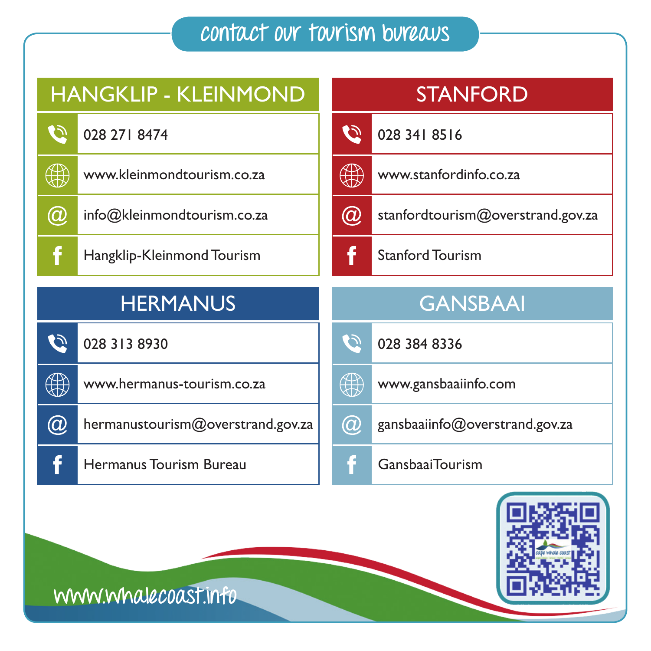## **contact our tourism bureaus**



**www.whalecoast.info**